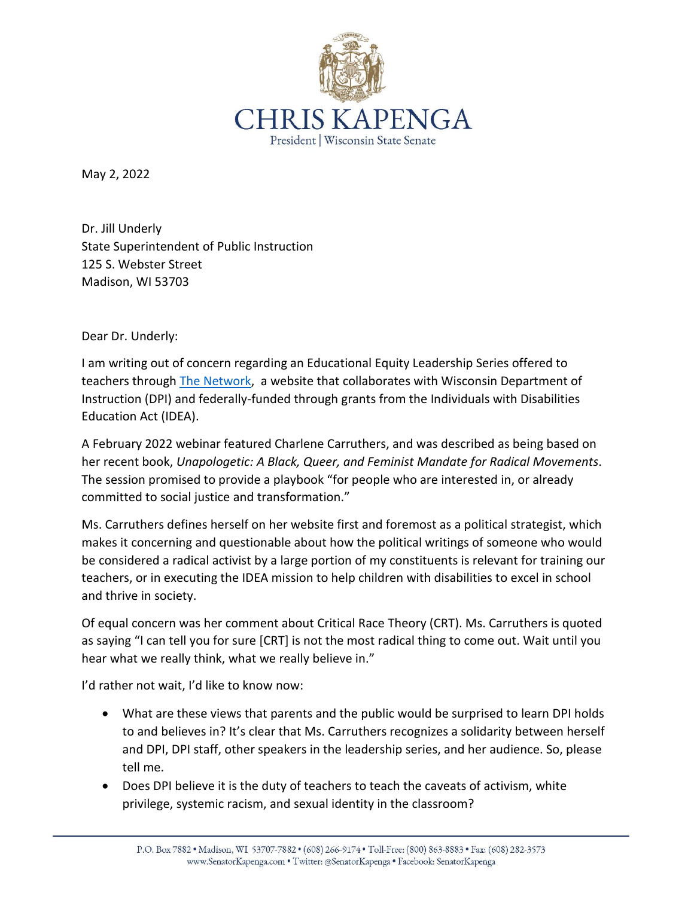

May 2, 2022

Dr. Jill Underly State Superintendent of Public Instruction 125 S. Webster Street Madison, WI 53703

Dear Dr. Underly:

I am writing out of concern regarding an Educational Equity Leadership Series offered to teachers through [The Network,](http://www.thenetworkwi.com/) a website that collaborates with Wisconsin Department of Instruction (DPI) and federally-funded through grants from the Individuals with Disabilities Education Act (IDEA).

A February 2022 webinar featured Charlene Carruthers, and was described as being based on her recent book, *Unapologetic: A Black, Queer, and Feminist Mandate for Radical Movements*. The session promised to provide a playbook "for people who are interested in, or already committed to social justice and transformation."

Ms. Carruthers defines herself on her website first and foremost as a political strategist, which makes it concerning and questionable about how the political writings of someone who would be considered a radical activist by a large portion of my constituents is relevant for training our teachers, or in executing the IDEA mission to help children with disabilities to excel in school and thrive in society.

Of equal concern was her comment about Critical Race Theory (CRT). Ms. Carruthers is quoted as saying "I can tell you for sure [CRT] is not the most radical thing to come out. Wait until you hear what we really think, what we really believe in."

I'd rather not wait, I'd like to know now:

- What are these views that parents and the public would be surprised to learn DPI holds to and believes in? It's clear that Ms. Carruthers recognizes a solidarity between herself and DPI, DPI staff, other speakers in the leadership series, and her audience. So, please tell me.
- Does DPI believe it is the duty of teachers to teach the caveats of activism, white privilege, systemic racism, and sexual identity in the classroom?